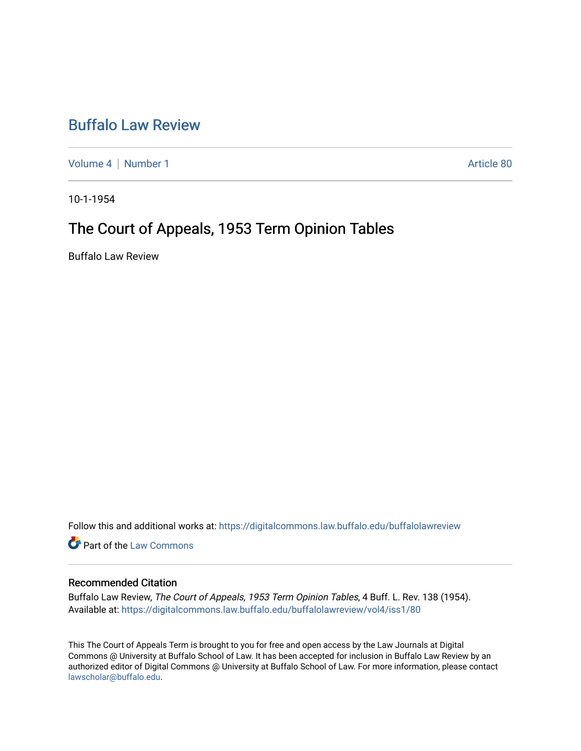## [Buffalo Law Review](https://digitalcommons.law.buffalo.edu/buffalolawreview)

[Volume 4](https://digitalcommons.law.buffalo.edu/buffalolawreview/vol4) | [Number 1](https://digitalcommons.law.buffalo.edu/buffalolawreview/vol4/iss1) Article 80

10-1-1954

# The Court of Appeals, 1953 Term Opinion Tables

Buffalo Law Review

Follow this and additional works at: [https://digitalcommons.law.buffalo.edu/buffalolawreview](https://digitalcommons.law.buffalo.edu/buffalolawreview?utm_source=digitalcommons.law.buffalo.edu%2Fbuffalolawreview%2Fvol4%2Fiss1%2F80&utm_medium=PDF&utm_campaign=PDFCoverPages) 

**Part of the [Law Commons](http://network.bepress.com/hgg/discipline/578?utm_source=digitalcommons.law.buffalo.edu%2Fbuffalolawreview%2Fvol4%2Fiss1%2F80&utm_medium=PDF&utm_campaign=PDFCoverPages)** 

#### Recommended Citation

Buffalo Law Review, The Court of Appeals, 1953 Term Opinion Tables, 4 Buff. L. Rev. 138 (1954). Available at: [https://digitalcommons.law.buffalo.edu/buffalolawreview/vol4/iss1/80](https://digitalcommons.law.buffalo.edu/buffalolawreview/vol4/iss1/80?utm_source=digitalcommons.law.buffalo.edu%2Fbuffalolawreview%2Fvol4%2Fiss1%2F80&utm_medium=PDF&utm_campaign=PDFCoverPages) 

This The Court of Appeals Term is brought to you for free and open access by the Law Journals at Digital Commons @ University at Buffalo School of Law. It has been accepted for inclusion in Buffalo Law Review by an authorized editor of Digital Commons @ University at Buffalo School of Law. For more information, please contact [lawscholar@buffalo.edu](mailto:lawscholar@buffalo.edu).